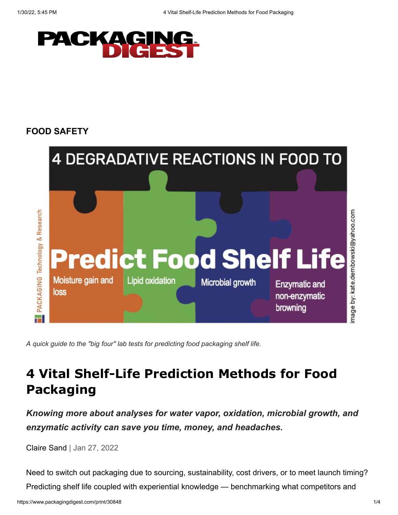

## **[FOOD SAFETY](https://www.packagingdigest.com/food-safety)**



*A quick guide to the "big four" lab tests for predicting food packaging shelf life.*

## **4 Vital Shelf-Life Prediction Methods for Food Packaging**

*Knowing more about analyses for water vapor, oxidation, microbial growth, and enzymatic activity can save you time, money, and headaches.*

[Claire Sand](https://www.packagingdigest.com/author/Claire-Sand) | Jan 27, 2022

Need to switch out packaging due to sourcing, sustainability, cost drivers, or to meet launch timing? Predicting shelf life coupled with experiential knowledge — benchmarking what competitors and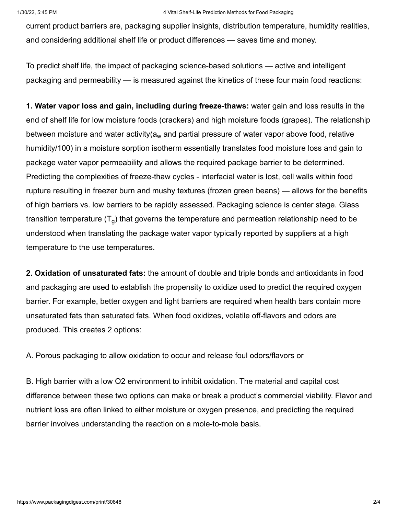current product barriers are, packaging supplier insights, distribution temperature, humidity realities, and considering additional shelf life or product differences — saves time and money.

To predict shelf life, the impact of packaging science-based solutions — active and intelligent packaging and permeability — is measured against the kinetics of these four main food reactions:

**1. Water vapor loss and gain, including during freeze-thaws:** water gain and loss results in the end of shelf life for low moisture foods (crackers) and high moisture foods (grapes). The relationship between moisture and water activity(a<sub>w</sub> and partial pressure of water vapor above food, relative humidity/100) in a moisture sorption isotherm essentially translates food moisture loss and gain to package water vapor permeability and allows the required package barrier to be determined. Predicting the complexities of freeze-thaw cycles - interfacial water is lost, cell walls within food rupture resulting in freezer burn and mushy textures (frozen green beans) — allows for the benefits of high barriers vs. low barriers to be rapidly assessed. Packaging science is center stage. Glass transition temperature (T $_{\rm g}$ ) that governs the temperature and permeation relationship need to be understood when translating the package water vapor typically reported by suppliers at a high temperature to the use temperatures.

**2. Oxidation of unsaturated fats:** the amount of double and triple bonds and antioxidants in food and packaging are used to establish the propensity to oxidize used to predict the required oxygen barrier. For example, better oxygen and light barriers are required when health bars contain more unsaturated fats than saturated fats. When food oxidizes, volatile off-flavors and odors are produced. This creates 2 options:

A. Porous packaging to allow oxidation to occur and release foul odors/flavors or

B. High barrier with a low O2 environment to inhibit oxidation. The material and capital cost difference between these two options can make or break a product's commercial viability. Flavor and nutrient loss are often linked to either moisture or oxygen presence, and predicting the required barrier involves understanding the reaction on a mole-to-mole basis.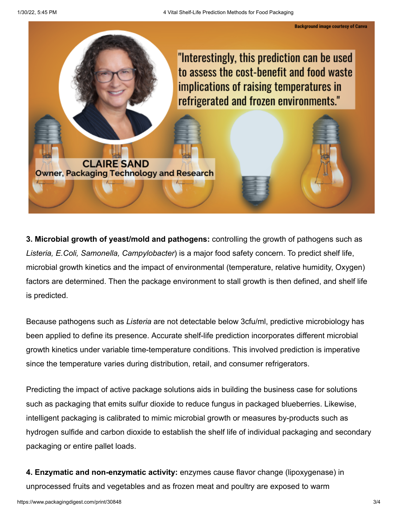**Background image courtesy of Canva** 



**3. Microbial growth of yeast/mold and pathogens:** controlling the growth of pathogens such as *Listeria, E.Coli, Samonella, Campylobacter*) is a major food safety concern. To predict shelf life, microbial growth kinetics and the impact of environmental (temperature, relative humidity, Oxygen) factors are determined. Then the package environment to stall growth is then defined, and shelf life is predicted.

Because pathogens such as *Listeria* are not detectable below 3cfu/ml, predictive microbiology has been applied to define its presence. Accurate shelf-life prediction incorporates different microbial growth kinetics under variable time-temperature conditions. This involved prediction is imperative since the temperature varies during distribution, retail, and consumer refrigerators.

Predicting the impact of active package solutions aids in building the business case for solutions such as packaging that emits sulfur dioxide to reduce fungus in packaged blueberries. Likewise, intelligent packaging is calibrated to mimic microbial growth or measures by-products such as hydrogen sulfide and carbon dioxide to establish the shelf life of individual packaging and secondary packaging or entire pallet loads.

**4. Enzymatic and non-enzymatic activity:** enzymes cause flavor change (lipoxygenase) in unprocessed fruits and vegetables and as frozen meat and poultry are exposed to warm